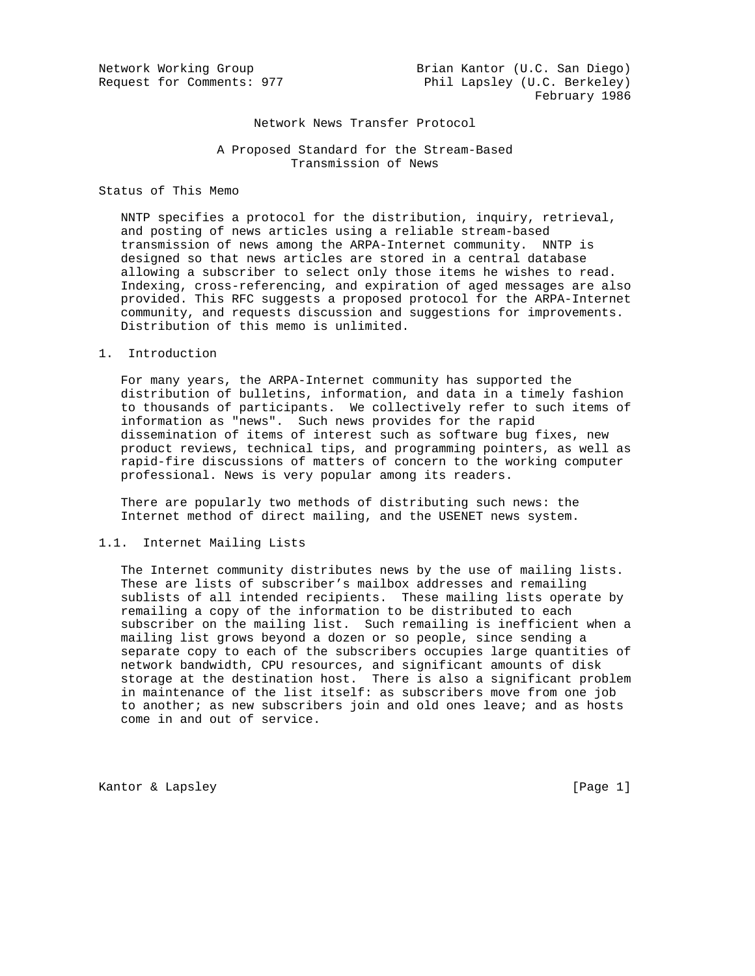Network Working Group Brian Kantor (U.C. San Diego) Request for Comments: 977 Phil Lapsley (U.C. Berkeley) February 1986

#### Network News Transfer Protocol

 A Proposed Standard for the Stream-Based Transmission of News

Status of This Memo

 NNTP specifies a protocol for the distribution, inquiry, retrieval, and posting of news articles using a reliable stream-based transmission of news among the ARPA-Internet community. NNTP is designed so that news articles are stored in a central database allowing a subscriber to select only those items he wishes to read. Indexing, cross-referencing, and expiration of aged messages are also provided. This RFC suggests a proposed protocol for the ARPA-Internet community, and requests discussion and suggestions for improvements. Distribution of this memo is unlimited.

1. Introduction

 For many years, the ARPA-Internet community has supported the distribution of bulletins, information, and data in a timely fashion to thousands of participants. We collectively refer to such items of information as "news". Such news provides for the rapid dissemination of items of interest such as software bug fixes, new product reviews, technical tips, and programming pointers, as well as rapid-fire discussions of matters of concern to the working computer professional. News is very popular among its readers.

 There are popularly two methods of distributing such news: the Internet method of direct mailing, and the USENET news system.

## 1.1. Internet Mailing Lists

 The Internet community distributes news by the use of mailing lists. These are lists of subscriber's mailbox addresses and remailing sublists of all intended recipients. These mailing lists operate by remailing a copy of the information to be distributed to each subscriber on the mailing list. Such remailing is inefficient when a mailing list grows beyond a dozen or so people, since sending a separate copy to each of the subscribers occupies large quantities of network bandwidth, CPU resources, and significant amounts of disk storage at the destination host. There is also a significant problem in maintenance of the list itself: as subscribers move from one job to another; as new subscribers join and old ones leave; and as hosts come in and out of service.

Kantor & Lapsley (Page 1)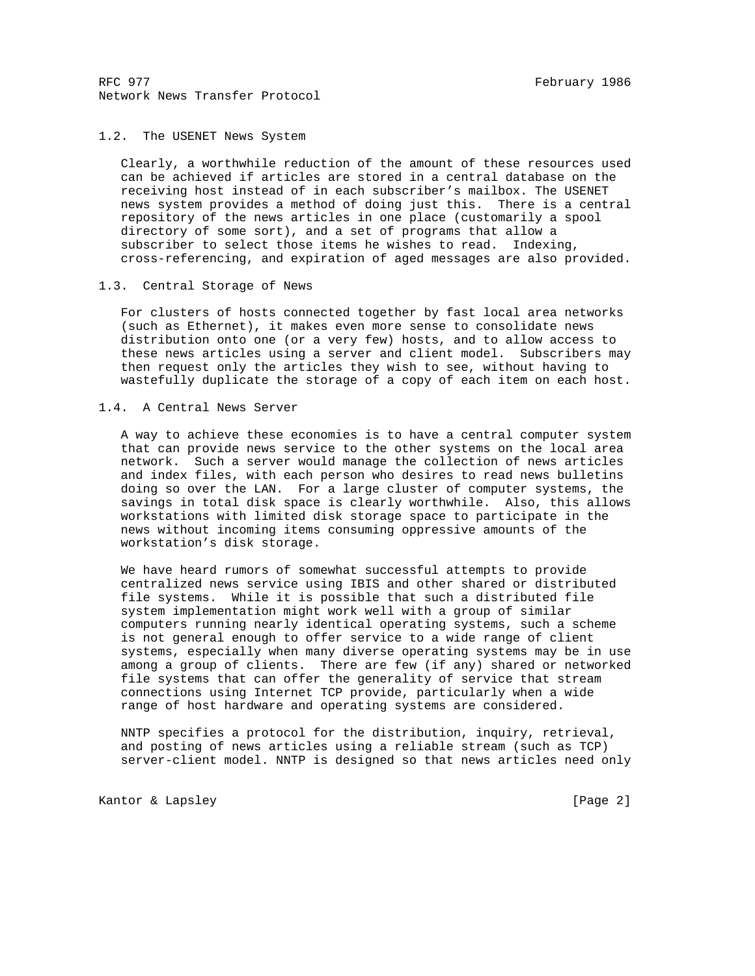## 1.2. The USENET News System

 Clearly, a worthwhile reduction of the amount of these resources used can be achieved if articles are stored in a central database on the receiving host instead of in each subscriber's mailbox. The USENET news system provides a method of doing just this. There is a central repository of the news articles in one place (customarily a spool directory of some sort), and a set of programs that allow a subscriber to select those items he wishes to read. Indexing, cross-referencing, and expiration of aged messages are also provided.

## 1.3. Central Storage of News

 For clusters of hosts connected together by fast local area networks (such as Ethernet), it makes even more sense to consolidate news distribution onto one (or a very few) hosts, and to allow access to these news articles using a server and client model. Subscribers may then request only the articles they wish to see, without having to wastefully duplicate the storage of a copy of each item on each host.

## 1.4. A Central News Server

 A way to achieve these economies is to have a central computer system that can provide news service to the other systems on the local area network. Such a server would manage the collection of news articles and index files, with each person who desires to read news bulletins doing so over the LAN. For a large cluster of computer systems, the savings in total disk space is clearly worthwhile. Also, this allows workstations with limited disk storage space to participate in the news without incoming items consuming oppressive amounts of the workstation's disk storage.

 We have heard rumors of somewhat successful attempts to provide centralized news service using IBIS and other shared or distributed file systems. While it is possible that such a distributed file system implementation might work well with a group of similar computers running nearly identical operating systems, such a scheme is not general enough to offer service to a wide range of client systems, especially when many diverse operating systems may be in use among a group of clients. There are few (if any) shared or networked file systems that can offer the generality of service that stream connections using Internet TCP provide, particularly when a wide range of host hardware and operating systems are considered.

 NNTP specifies a protocol for the distribution, inquiry, retrieval, and posting of news articles using a reliable stream (such as TCP) server-client model. NNTP is designed so that news articles need only

Kantor & Lapsley (Page 2)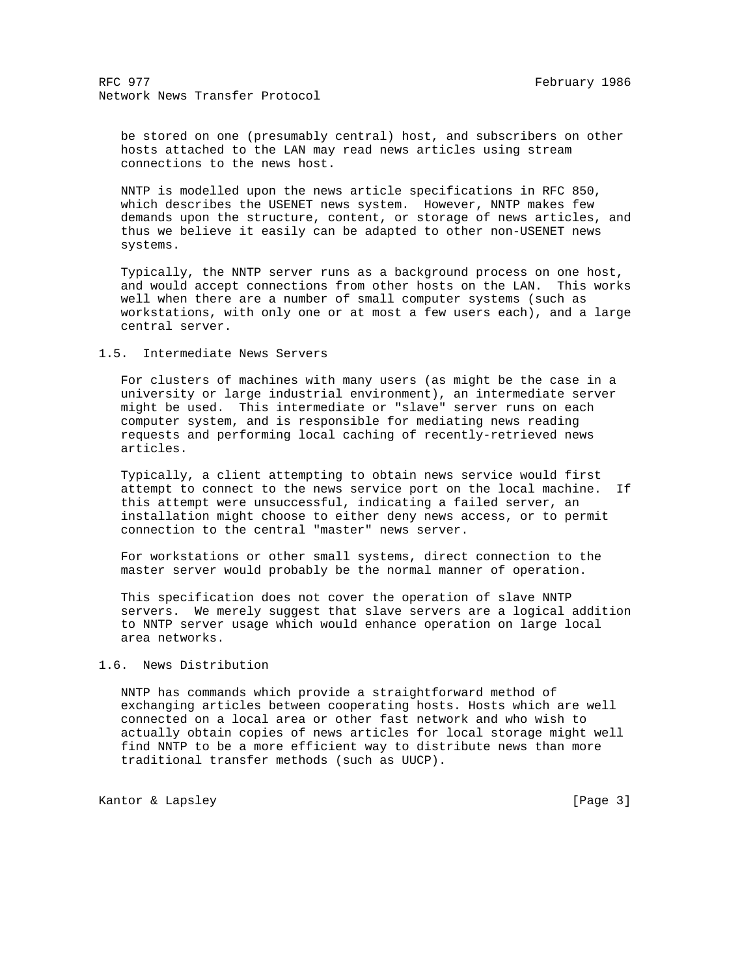be stored on one (presumably central) host, and subscribers on other hosts attached to the LAN may read news articles using stream connections to the news host.

 NNTP is modelled upon the news article specifications in RFC 850, which describes the USENET news system. However, NNTP makes few demands upon the structure, content, or storage of news articles, and thus we believe it easily can be adapted to other non-USENET news systems.

 Typically, the NNTP server runs as a background process on one host, and would accept connections from other hosts on the LAN. This works well when there are a number of small computer systems (such as workstations, with only one or at most a few users each), and a large central server.

#### 1.5. Intermediate News Servers

 For clusters of machines with many users (as might be the case in a university or large industrial environment), an intermediate server might be used. This intermediate or "slave" server runs on each computer system, and is responsible for mediating news reading requests and performing local caching of recently-retrieved news articles.

 Typically, a client attempting to obtain news service would first attempt to connect to the news service port on the local machine. If this attempt were unsuccessful, indicating a failed server, an installation might choose to either deny news access, or to permit connection to the central "master" news server.

 For workstations or other small systems, direct connection to the master server would probably be the normal manner of operation.

 This specification does not cover the operation of slave NNTP servers. We merely suggest that slave servers are a logical addition to NNTP server usage which would enhance operation on large local area networks.

## 1.6. News Distribution

 NNTP has commands which provide a straightforward method of exchanging articles between cooperating hosts. Hosts which are well connected on a local area or other fast network and who wish to actually obtain copies of news articles for local storage might well find NNTP to be a more efficient way to distribute news than more traditional transfer methods (such as UUCP).

Kantor & Lapsley (Page 3)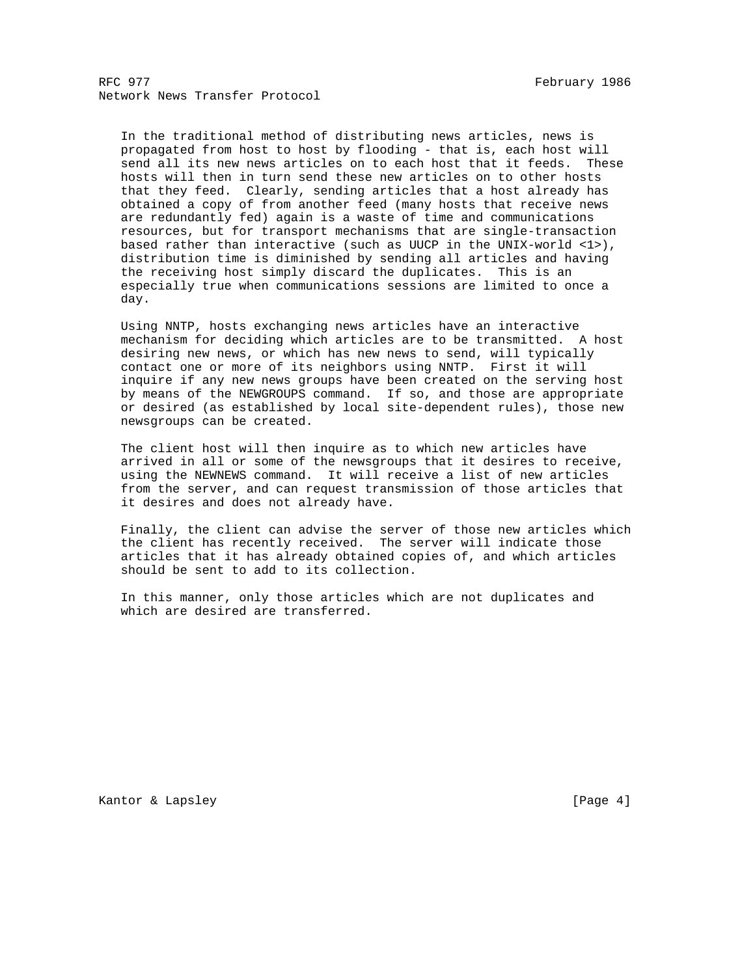In the traditional method of distributing news articles, news is propagated from host to host by flooding - that is, each host will send all its new news articles on to each host that it feeds. These hosts will then in turn send these new articles on to other hosts that they feed. Clearly, sending articles that a host already has obtained a copy of from another feed (many hosts that receive news are redundantly fed) again is a waste of time and communications resources, but for transport mechanisms that are single-transaction based rather than interactive (such as UUCP in the UNIX-world <1>), distribution time is diminished by sending all articles and having the receiving host simply discard the duplicates. This is an especially true when communications sessions are limited to once a day.

 Using NNTP, hosts exchanging news articles have an interactive mechanism for deciding which articles are to be transmitted. A host desiring new news, or which has new news to send, will typically contact one or more of its neighbors using NNTP. First it will inquire if any new news groups have been created on the serving host by means of the NEWGROUPS command. If so, and those are appropriate or desired (as established by local site-dependent rules), those new newsgroups can be created.

 The client host will then inquire as to which new articles have arrived in all or some of the newsgroups that it desires to receive, using the NEWNEWS command. It will receive a list of new articles from the server, and can request transmission of those articles that it desires and does not already have.

 Finally, the client can advise the server of those new articles which the client has recently received. The server will indicate those articles that it has already obtained copies of, and which articles should be sent to add to its collection.

 In this manner, only those articles which are not duplicates and which are desired are transferred.

Kantor & Lapsley (Page 4)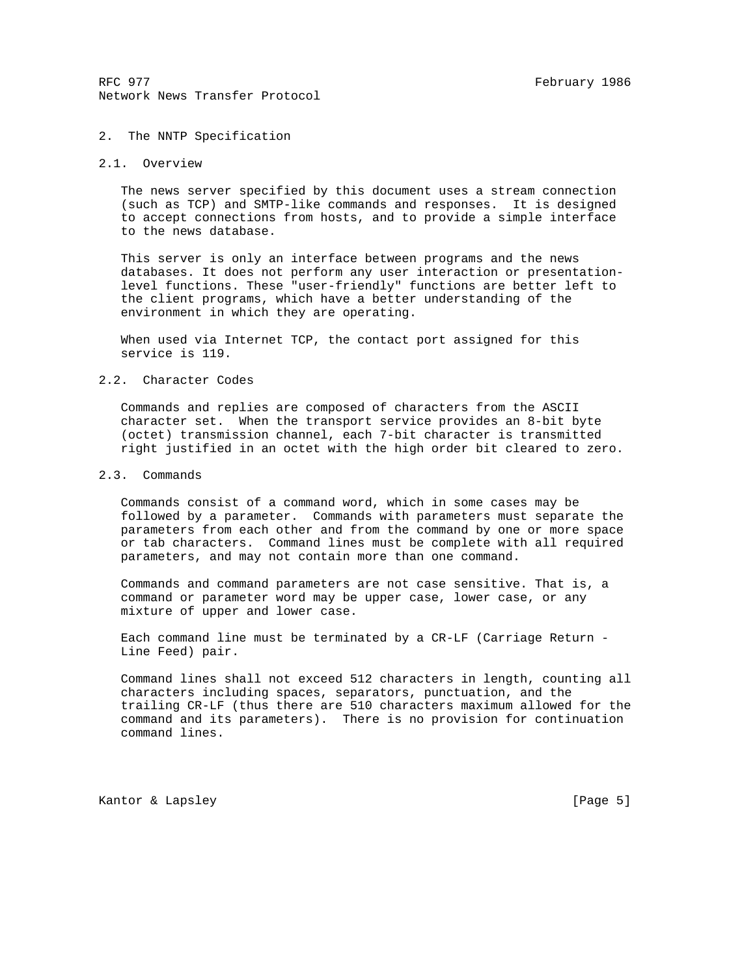## 2. The NNTP Specification

## 2.1. Overview

 The news server specified by this document uses a stream connection (such as TCP) and SMTP-like commands and responses. It is designed to accept connections from hosts, and to provide a simple interface to the news database.

 This server is only an interface between programs and the news databases. It does not perform any user interaction or presentation level functions. These "user-friendly" functions are better left to the client programs, which have a better understanding of the environment in which they are operating.

 When used via Internet TCP, the contact port assigned for this service is 119.

## 2.2. Character Codes

 Commands and replies are composed of characters from the ASCII character set. When the transport service provides an 8-bit byte (octet) transmission channel, each 7-bit character is transmitted right justified in an octet with the high order bit cleared to zero.

## 2.3. Commands

 Commands consist of a command word, which in some cases may be followed by a parameter. Commands with parameters must separate the parameters from each other and from the command by one or more space or tab characters. Command lines must be complete with all required parameters, and may not contain more than one command.

 Commands and command parameters are not case sensitive. That is, a command or parameter word may be upper case, lower case, or any mixture of upper and lower case.

 Each command line must be terminated by a CR-LF (Carriage Return - Line Feed) pair.

 Command lines shall not exceed 512 characters in length, counting all characters including spaces, separators, punctuation, and the trailing CR-LF (thus there are 510 characters maximum allowed for the command and its parameters). There is no provision for continuation command lines.

Kantor & Lapsley (Page 5)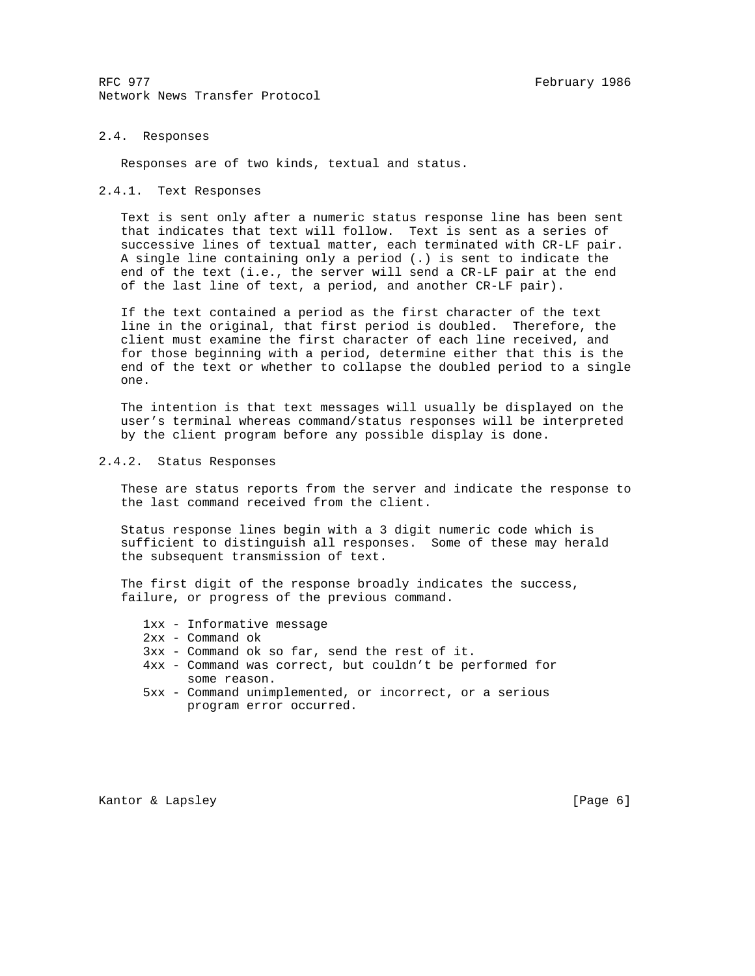## 2.4. Responses

Responses are of two kinds, textual and status.

#### 2.4.1. Text Responses

 Text is sent only after a numeric status response line has been sent that indicates that text will follow. Text is sent as a series of successive lines of textual matter, each terminated with CR-LF pair. A single line containing only a period (.) is sent to indicate the end of the text (i.e., the server will send a CR-LF pair at the end of the last line of text, a period, and another CR-LF pair).

 If the text contained a period as the first character of the text line in the original, that first period is doubled. Therefore, the client must examine the first character of each line received, and for those beginning with a period, determine either that this is the end of the text or whether to collapse the doubled period to a single one.

 The intention is that text messages will usually be displayed on the user's terminal whereas command/status responses will be interpreted by the client program before any possible display is done.

## 2.4.2. Status Responses

 These are status reports from the server and indicate the response to the last command received from the client.

 Status response lines begin with a 3 digit numeric code which is sufficient to distinguish all responses. Some of these may herald the subsequent transmission of text.

 The first digit of the response broadly indicates the success, failure, or progress of the previous command.

- 1xx Informative message
- 2xx Command ok
- 3xx Command ok so far, send the rest of it.
- 4xx Command was correct, but couldn't be performed for some reason.
- 5xx Command unimplemented, or incorrect, or a serious program error occurred.

Kantor & Lapsley (Page 6)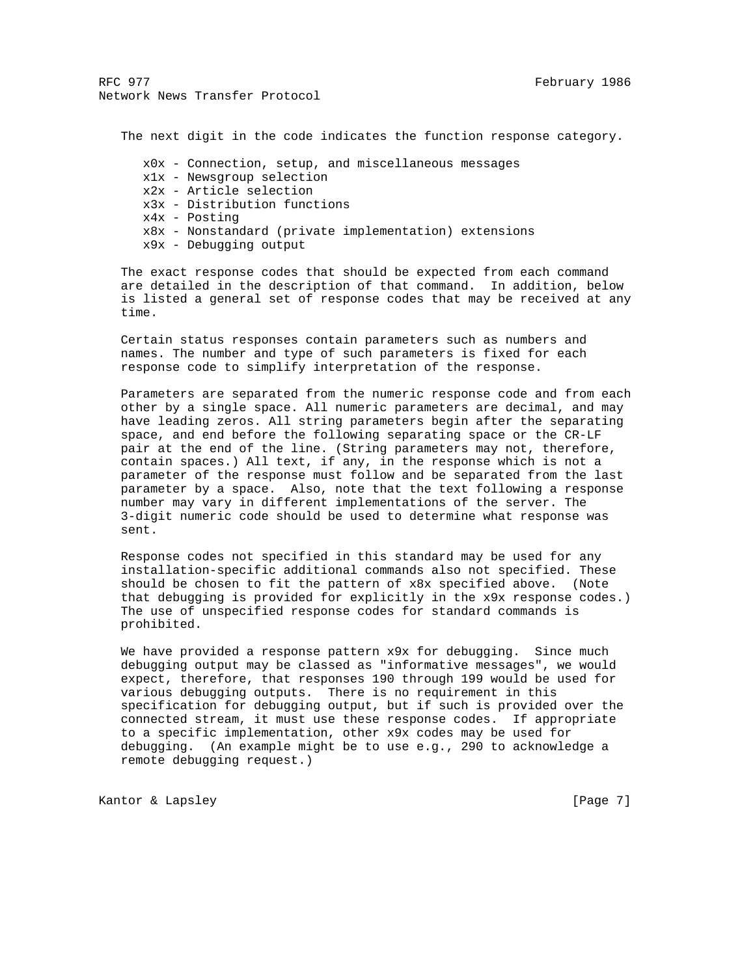The next digit in the code indicates the function response category.

 x0x - Connection, setup, and miscellaneous messages x1x - Newsgroup selection x2x - Article selection x3x - Distribution functions x4x - Posting x8x - Nonstandard (private implementation) extensions x9x - Debugging output

 The exact response codes that should be expected from each command are detailed in the description of that command. In addition, below is listed a general set of response codes that may be received at any time.

 Certain status responses contain parameters such as numbers and names. The number and type of such parameters is fixed for each response code to simplify interpretation of the response.

 Parameters are separated from the numeric response code and from each other by a single space. All numeric parameters are decimal, and may have leading zeros. All string parameters begin after the separating space, and end before the following separating space or the CR-LF pair at the end of the line. (String parameters may not, therefore, contain spaces.) All text, if any, in the response which is not a parameter of the response must follow and be separated from the last parameter by a space. Also, note that the text following a response number may vary in different implementations of the server. The 3-digit numeric code should be used to determine what response was sent.

 Response codes not specified in this standard may be used for any installation-specific additional commands also not specified. These should be chosen to fit the pattern of x8x specified above. (Note that debugging is provided for explicitly in the x9x response codes.) The use of unspecified response codes for standard commands is prohibited.

We have provided a response pattern x9x for debugging. Since much debugging output may be classed as "informative messages", we would expect, therefore, that responses 190 through 199 would be used for various debugging outputs. There is no requirement in this specification for debugging output, but if such is provided over the connected stream, it must use these response codes. If appropriate to a specific implementation, other x9x codes may be used for debugging. (An example might be to use e.g., 290 to acknowledge a remote debugging request.)

Kantor & Lapsley (Page 7)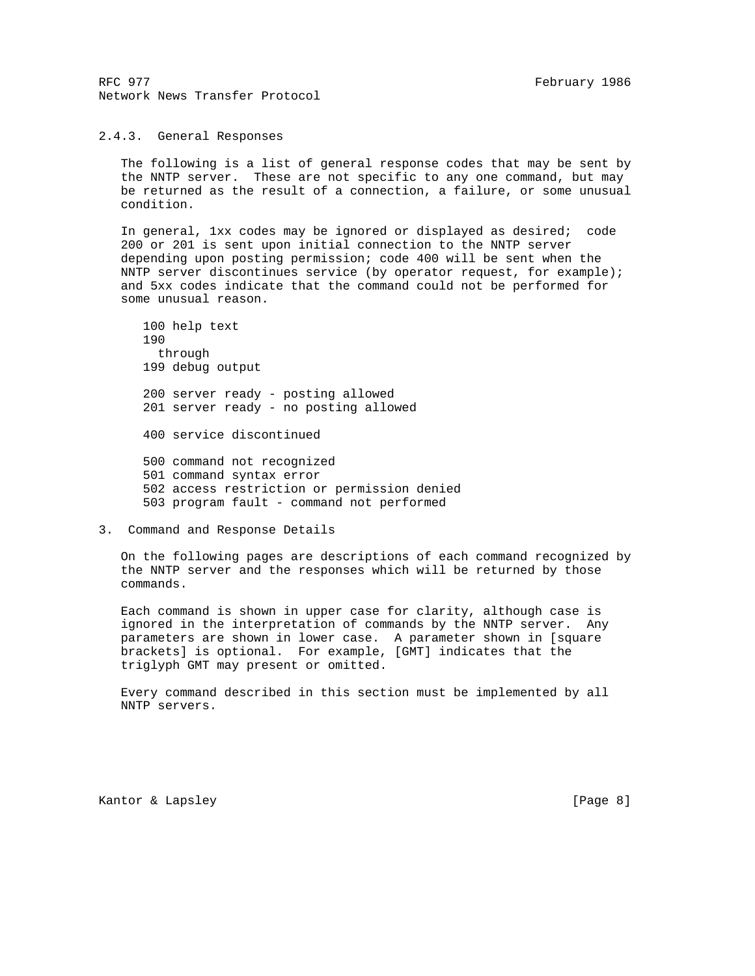## 2.4.3. General Responses

 The following is a list of general response codes that may be sent by the NNTP server. These are not specific to any one command, but may be returned as the result of a connection, a failure, or some unusual condition.

 In general, 1xx codes may be ignored or displayed as desired; code 200 or 201 is sent upon initial connection to the NNTP server depending upon posting permission; code 400 will be sent when the NNTP server discontinues service (by operator request, for example); and 5xx codes indicate that the command could not be performed for some unusual reason.

 100 help text 190 through 199 debug output 200 server ready - posting allowed 201 server ready - no posting allowed 400 service discontinued 500 command not recognized 501 command syntax error 502 access restriction or permission denied 503 program fault - command not performed

3. Command and Response Details

 On the following pages are descriptions of each command recognized by the NNTP server and the responses which will be returned by those commands.

 Each command is shown in upper case for clarity, although case is ignored in the interpretation of commands by the NNTP server. Any parameters are shown in lower case. A parameter shown in [square brackets] is optional. For example, [GMT] indicates that the triglyph GMT may present or omitted.

 Every command described in this section must be implemented by all NNTP servers.

Kantor & Lapsley **Example 2018** [Page 8]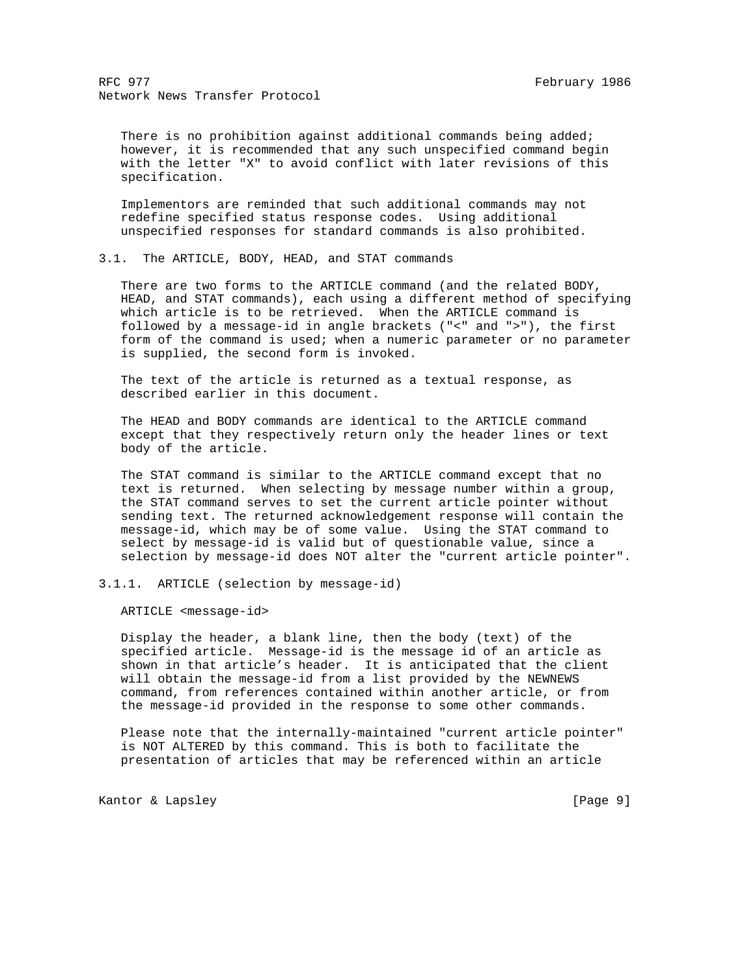There is no prohibition against additional commands being added; however, it is recommended that any such unspecified command begin with the letter "X" to avoid conflict with later revisions of this specification.

 Implementors are reminded that such additional commands may not redefine specified status response codes. Using additional unspecified responses for standard commands is also prohibited.

3.1. The ARTICLE, BODY, HEAD, and STAT commands

 There are two forms to the ARTICLE command (and the related BODY, HEAD, and STAT commands), each using a different method of specifying which article is to be retrieved. When the ARTICLE command is followed by a message-id in angle brackets ("<" and ">"), the first form of the command is used; when a numeric parameter or no parameter is supplied, the second form is invoked.

 The text of the article is returned as a textual response, as described earlier in this document.

 The HEAD and BODY commands are identical to the ARTICLE command except that they respectively return only the header lines or text body of the article.

 The STAT command is similar to the ARTICLE command except that no text is returned. When selecting by message number within a group, the STAT command serves to set the current article pointer without sending text. The returned acknowledgement response will contain the message-id, which may be of some value. Using the STAT command to select by message-id is valid but of questionable value, since a selection by message-id does NOT alter the "current article pointer".

3.1.1. ARTICLE (selection by message-id)

ARTICLE <message-id>

 Display the header, a blank line, then the body (text) of the specified article. Message-id is the message id of an article as shown in that article's header. It is anticipated that the client will obtain the message-id from a list provided by the NEWNEWS command, from references contained within another article, or from the message-id provided in the response to some other commands.

 Please note that the internally-maintained "current article pointer" is NOT ALTERED by this command. This is both to facilitate the presentation of articles that may be referenced within an article

Kantor & Lapsley (Page 9)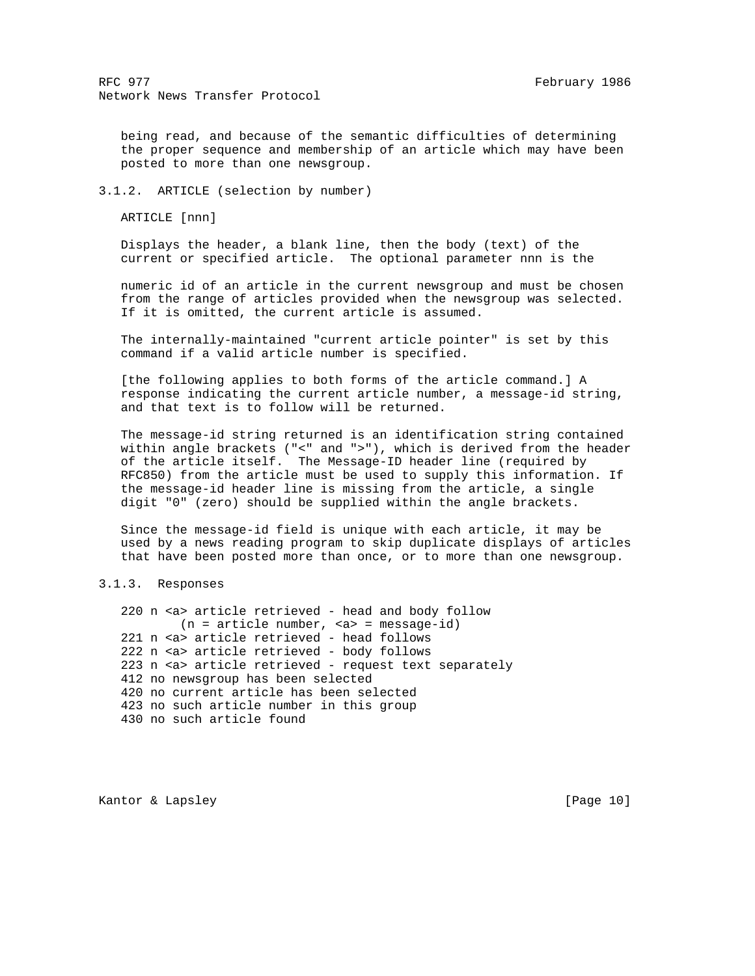being read, and because of the semantic difficulties of determining the proper sequence and membership of an article which may have been posted to more than one newsgroup.

3.1.2. ARTICLE (selection by number)

ARTICLE [nnn]

 Displays the header, a blank line, then the body (text) of the current or specified article. The optional parameter nnn is the

 numeric id of an article in the current newsgroup and must be chosen from the range of articles provided when the newsgroup was selected. If it is omitted, the current article is assumed.

 The internally-maintained "current article pointer" is set by this command if a valid article number is specified.

 [the following applies to both forms of the article command.] A response indicating the current article number, a message-id string, and that text is to follow will be returned.

 The message-id string returned is an identification string contained within angle brackets ("<" and ">"), which is derived from the header of the article itself. The Message-ID header line (required by RFC850) from the article must be used to supply this information. If the message-id header line is missing from the article, a single digit "0" (zero) should be supplied within the angle brackets.

 Since the message-id field is unique with each article, it may be used by a news reading program to skip duplicate displays of articles that have been posted more than once, or to more than one newsgroup.

## 3.1.3. Responses

 220 n <a> article retrieved - head and body follow (n = article number, <a> = message-id) 221 n <a> article retrieved - head follows 222 n <a> article retrieved - body follows 223 n <a> article retrieved - request text separately 412 no newsgroup has been selected 420 no current article has been selected 423 no such article number in this group 430 no such article found

Kantor & Lapsley [Page 10]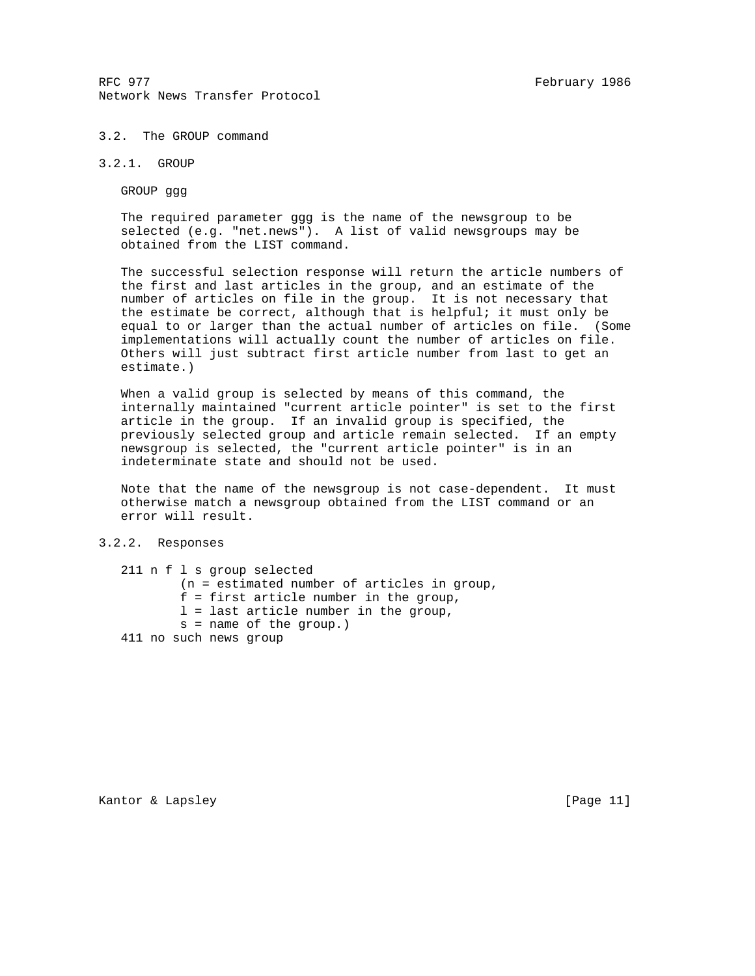## 3.2. The GROUP command

# 3.2.1. GROUP

GROUP ggg

 The required parameter ggg is the name of the newsgroup to be selected (e.g. "net.news"). A list of valid newsgroups may be obtained from the LIST command.

 The successful selection response will return the article numbers of the first and last articles in the group, and an estimate of the number of articles on file in the group. It is not necessary that the estimate be correct, although that is helpful; it must only be equal to or larger than the actual number of articles on file. (Some implementations will actually count the number of articles on file. Others will just subtract first article number from last to get an estimate.)

 When a valid group is selected by means of this command, the internally maintained "current article pointer" is set to the first article in the group. If an invalid group is specified, the previously selected group and article remain selected. If an empty newsgroup is selected, the "current article pointer" is in an indeterminate state and should not be used.

 Note that the name of the newsgroup is not case-dependent. It must otherwise match a newsgroup obtained from the LIST command or an error will result.

## 3.2.2. Responses

| 211 n f 1 s group selected                    |
|-----------------------------------------------|
| $(n = estimated number of articles in group,$ |
| $f =$ first article number in the group,      |
| $l =$ last article number in the group,       |
| $s = name of the group.)$                     |
| 411 no such news group                        |

Kantor & Lapsley [Page 11]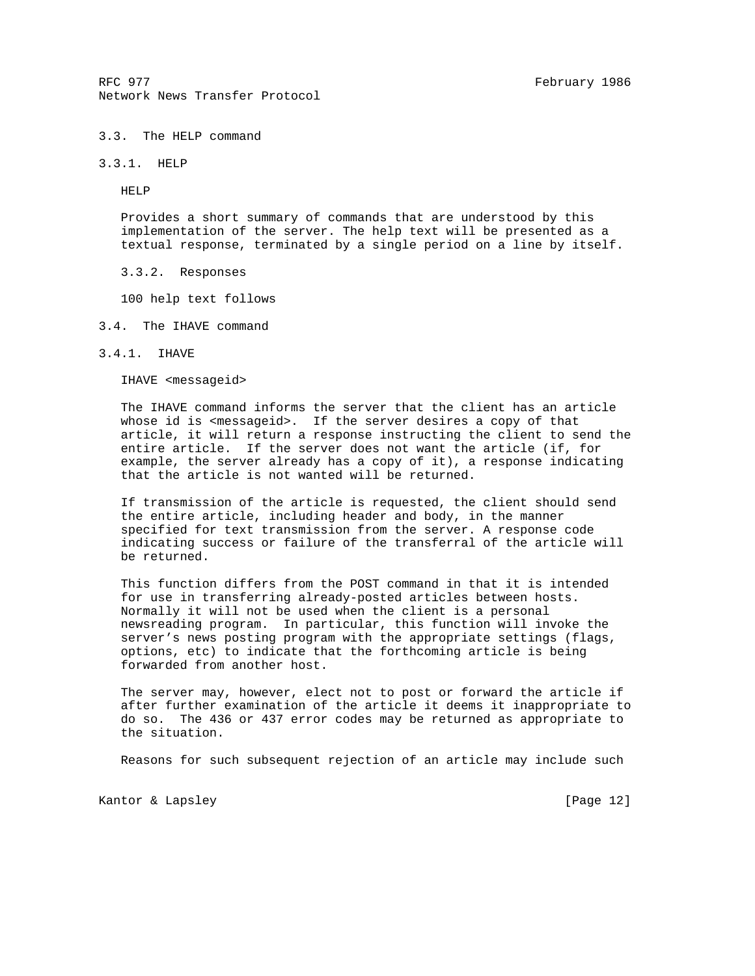## 3.3. The HELP command

3.3.1. HELP

HELP

 Provides a short summary of commands that are understood by this implementation of the server. The help text will be presented as a textual response, terminated by a single period on a line by itself.

3.3.2. Responses

100 help text follows

- 3.4. The IHAVE command
- 3.4.1. IHAVE

IHAVE <messageid>

 The IHAVE command informs the server that the client has an article whose id is <messageid>. If the server desires a copy of that article, it will return a response instructing the client to send the entire article. If the server does not want the article (if, for example, the server already has a copy of it), a response indicating that the article is not wanted will be returned.

 If transmission of the article is requested, the client should send the entire article, including header and body, in the manner specified for text transmission from the server. A response code indicating success or failure of the transferral of the article will be returned.

 This function differs from the POST command in that it is intended for use in transferring already-posted articles between hosts. Normally it will not be used when the client is a personal newsreading program. In particular, this function will invoke the server's news posting program with the appropriate settings (flags, options, etc) to indicate that the forthcoming article is being forwarded from another host.

 The server may, however, elect not to post or forward the article if after further examination of the article it deems it inappropriate to do so. The 436 or 437 error codes may be returned as appropriate to the situation.

Reasons for such subsequent rejection of an article may include such

Kantor & Lapsley [Page 12]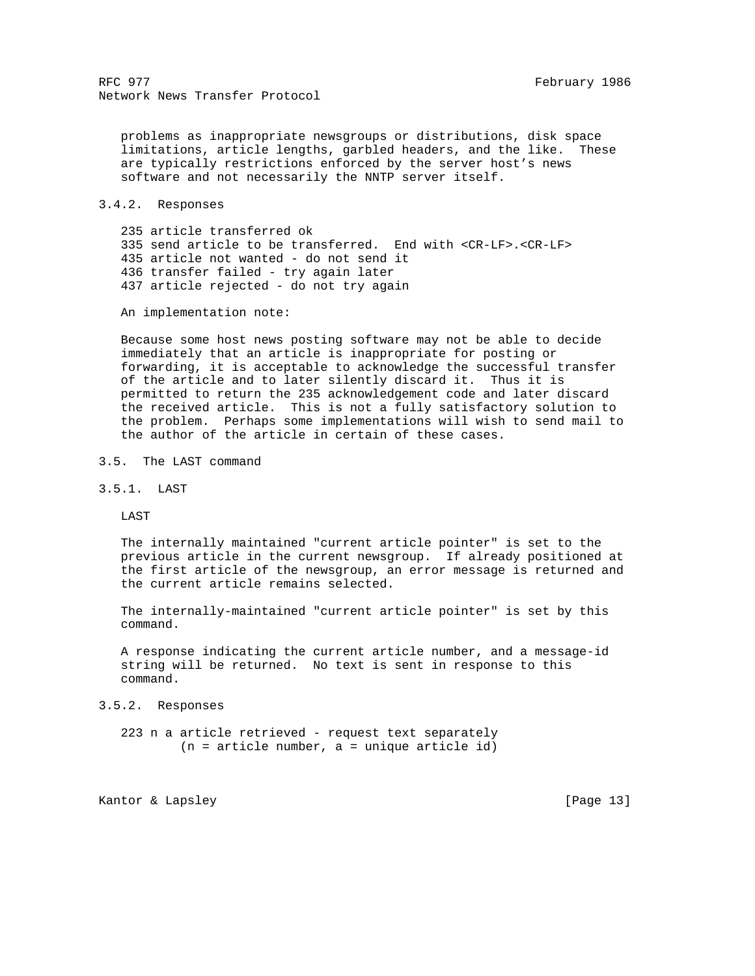problems as inappropriate newsgroups or distributions, disk space limitations, article lengths, garbled headers, and the like. These are typically restrictions enforced by the server host's news software and not necessarily the NNTP server itself.

3.4.2. Responses

 235 article transferred ok 335 send article to be transferred. End with <CR-LF>.<CR-LF> 435 article not wanted - do not send it 436 transfer failed - try again later 437 article rejected - do not try again

An implementation note:

 Because some host news posting software may not be able to decide immediately that an article is inappropriate for posting or forwarding, it is acceptable to acknowledge the successful transfer of the article and to later silently discard it. Thus it is permitted to return the 235 acknowledgement code and later discard the received article. This is not a fully satisfactory solution to the problem. Perhaps some implementations will wish to send mail to the author of the article in certain of these cases.

3.5. The LAST command

3.5.1. LAST

LAST

 The internally maintained "current article pointer" is set to the previous article in the current newsgroup. If already positioned at the first article of the newsgroup, an error message is returned and the current article remains selected.

 The internally-maintained "current article pointer" is set by this command.

 A response indicating the current article number, and a message-id string will be returned. No text is sent in response to this command.

3.5.2. Responses

 223 n a article retrieved - request text separately  $(n = article number, a = unique article id)$ 

Kantor & Lapsley [Page 13]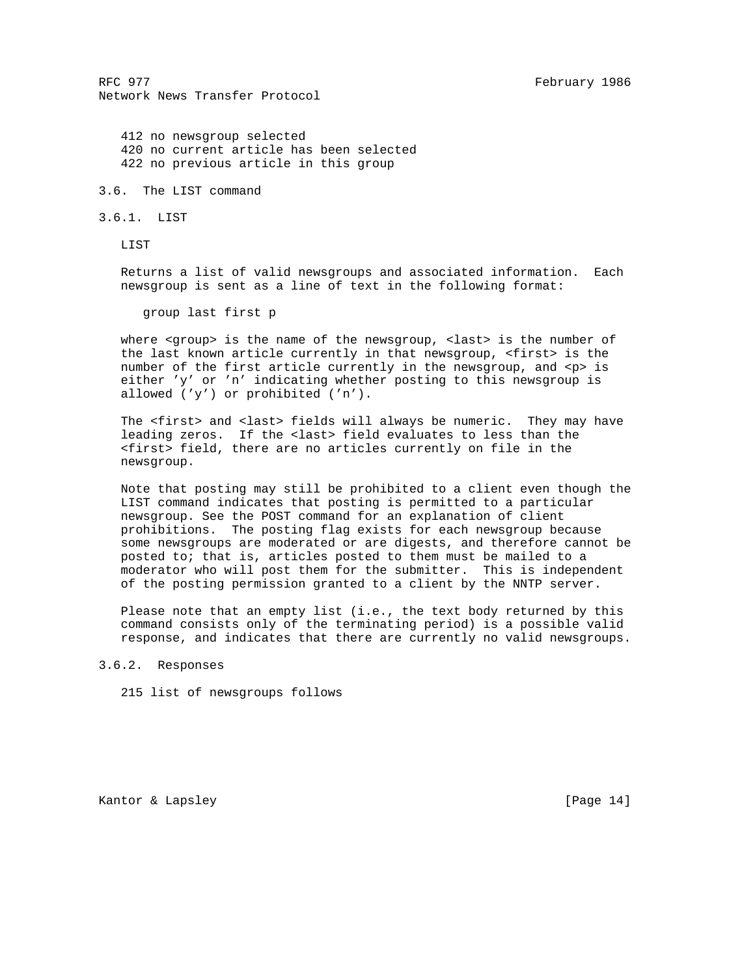412 no newsgroup selected 420 no current article has been selected 422 no previous article in this group

3.6. The LIST command

3.6.1. LIST

LIST

 Returns a list of valid newsgroups and associated information. Each newsgroup is sent as a line of text in the following format:

group last first p

where <group> is the name of the newsgroup, <last> is the number of the last known article currently in that newsgroup, <first> is the number of the first article currently in the newsgroup, and  $<$ p> is either 'y' or 'n' indicating whether posting to this newsgroup is allowed ('y') or prohibited ('n').

The <first> and <last> fields will always be numeric. They may have leading zeros. If the <last> field evaluates to less than the <first> field, there are no articles currently on file in the newsgroup.

 Note that posting may still be prohibited to a client even though the LIST command indicates that posting is permitted to a particular newsgroup. See the POST command for an explanation of client prohibitions. The posting flag exists for each newsgroup because some newsgroups are moderated or are digests, and therefore cannot be posted to; that is, articles posted to them must be mailed to a moderator who will post them for the submitter. This is independent of the posting permission granted to a client by the NNTP server.

 Please note that an empty list (i.e., the text body returned by this command consists only of the terminating period) is a possible valid response, and indicates that there are currently no valid newsgroups.

3.6.2. Responses

215 list of newsgroups follows

Kantor & Lapsley [Page 14]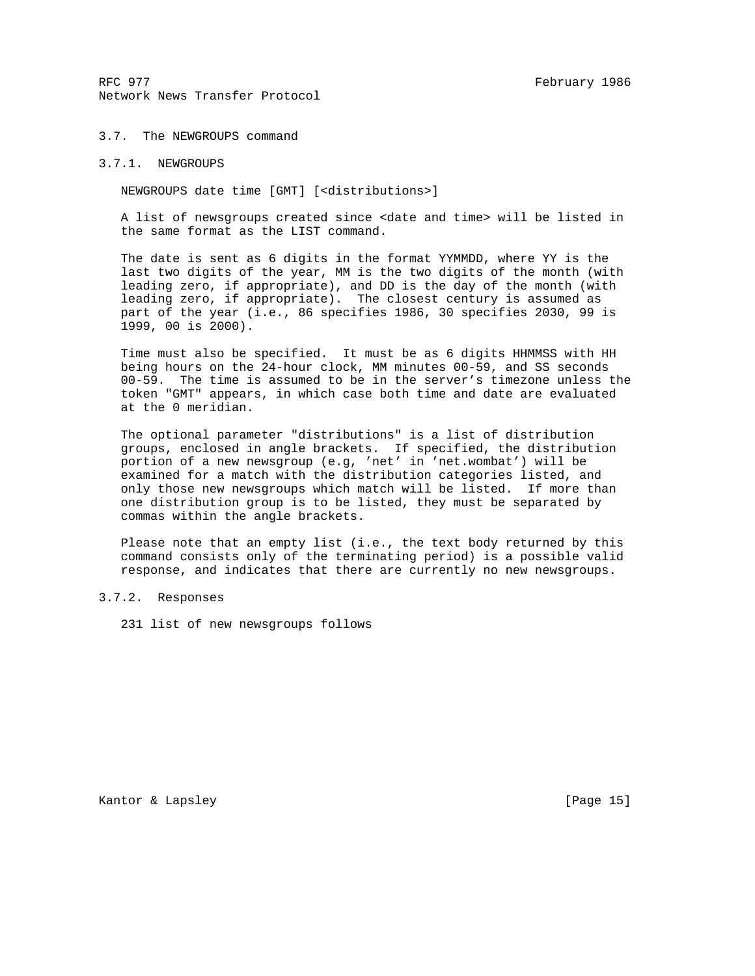## 3.7. The NEWGROUPS command

## 3.7.1. NEWGROUPS

NEWGROUPS date time [GMT] [<distributions>]

 A list of newsgroups created since <date and time> will be listed in the same format as the LIST command.

 The date is sent as 6 digits in the format YYMMDD, where YY is the last two digits of the year, MM is the two digits of the month (with leading zero, if appropriate), and DD is the day of the month (with leading zero, if appropriate). The closest century is assumed as part of the year (i.e., 86 specifies 1986, 30 specifies 2030, 99 is 1999, 00 is 2000).

 Time must also be specified. It must be as 6 digits HHMMSS with HH being hours on the 24-hour clock, MM minutes 00-59, and SS seconds 00-59. The time is assumed to be in the server's timezone unless the token "GMT" appears, in which case both time and date are evaluated at the 0 meridian.

 The optional parameter "distributions" is a list of distribution groups, enclosed in angle brackets. If specified, the distribution portion of a new newsgroup (e.g, 'net' in 'net.wombat') will be examined for a match with the distribution categories listed, and only those new newsgroups which match will be listed. If more than one distribution group is to be listed, they must be separated by commas within the angle brackets.

 Please note that an empty list (i.e., the text body returned by this command consists only of the terminating period) is a possible valid response, and indicates that there are currently no new newsgroups.

## 3.7.2. Responses

231 list of new newsgroups follows

Kantor & Lapsley [Page 15]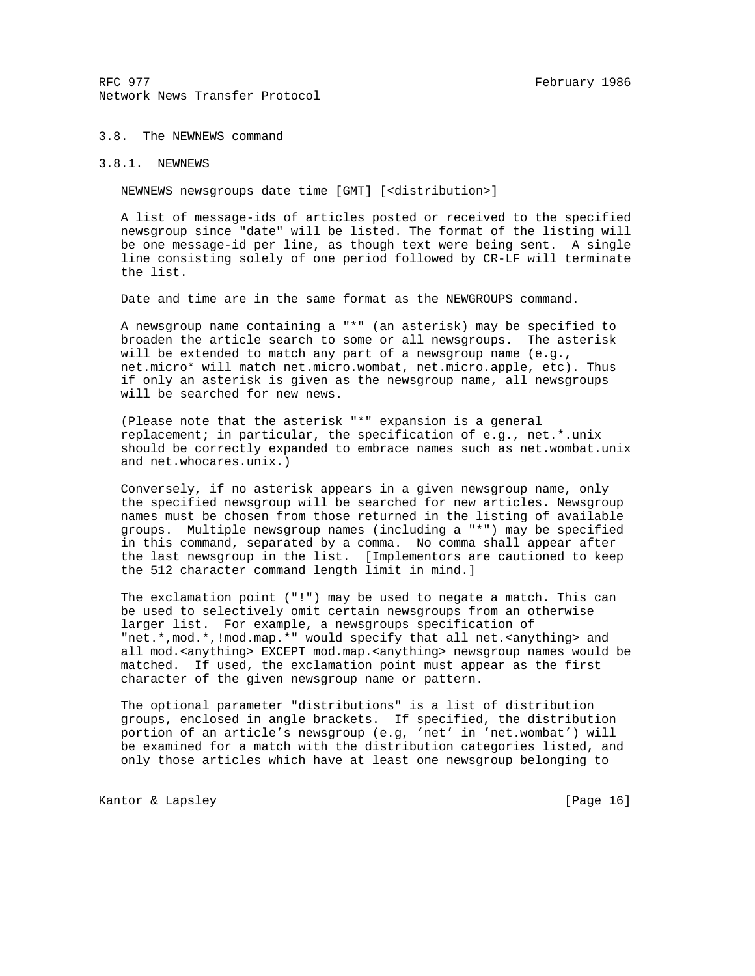## 3.8. The NEWNEWS command

# 3.8.1. NEWNEWS

NEWNEWS newsgroups date time [GMT] [<distribution>]

 A list of message-ids of articles posted or received to the specified newsgroup since "date" will be listed. The format of the listing will be one message-id per line, as though text were being sent. A single line consisting solely of one period followed by CR-LF will terminate the list.

Date and time are in the same format as the NEWGROUPS command.

 A newsgroup name containing a "\*" (an asterisk) may be specified to broaden the article search to some or all newsgroups. The asterisk will be extended to match any part of a newsgroup name (e.g., net.micro\* will match net.micro.wombat, net.micro.apple, etc). Thus if only an asterisk is given as the newsgroup name, all newsgroups will be searched for new news.

 (Please note that the asterisk "\*" expansion is a general replacement; in particular, the specification of e.g., net.\*.unix should be correctly expanded to embrace names such as net.wombat.unix and net.whocares.unix.)

 Conversely, if no asterisk appears in a given newsgroup name, only the specified newsgroup will be searched for new articles. Newsgroup names must be chosen from those returned in the listing of available groups. Multiple newsgroup names (including a "\*") may be specified in this command, separated by a comma. No comma shall appear after the last newsgroup in the list. [Implementors are cautioned to keep the 512 character command length limit in mind.]

 The exclamation point ("!") may be used to negate a match. This can be used to selectively omit certain newsgroups from an otherwise larger list. For example, a newsgroups specification of "net.\*,mod.\*,!mod.map.\*" would specify that all net.<anything> and all mod.<anything> EXCEPT mod.map.<anything> newsgroup names would be matched. If used, the exclamation point must appear as the first character of the given newsgroup name or pattern.

 The optional parameter "distributions" is a list of distribution groups, enclosed in angle brackets. If specified, the distribution portion of an article's newsgroup (e.g, 'net' in 'net.wombat') will be examined for a match with the distribution categories listed, and only those articles which have at least one newsgroup belonging to

Kantor & Lapsley [Page 16]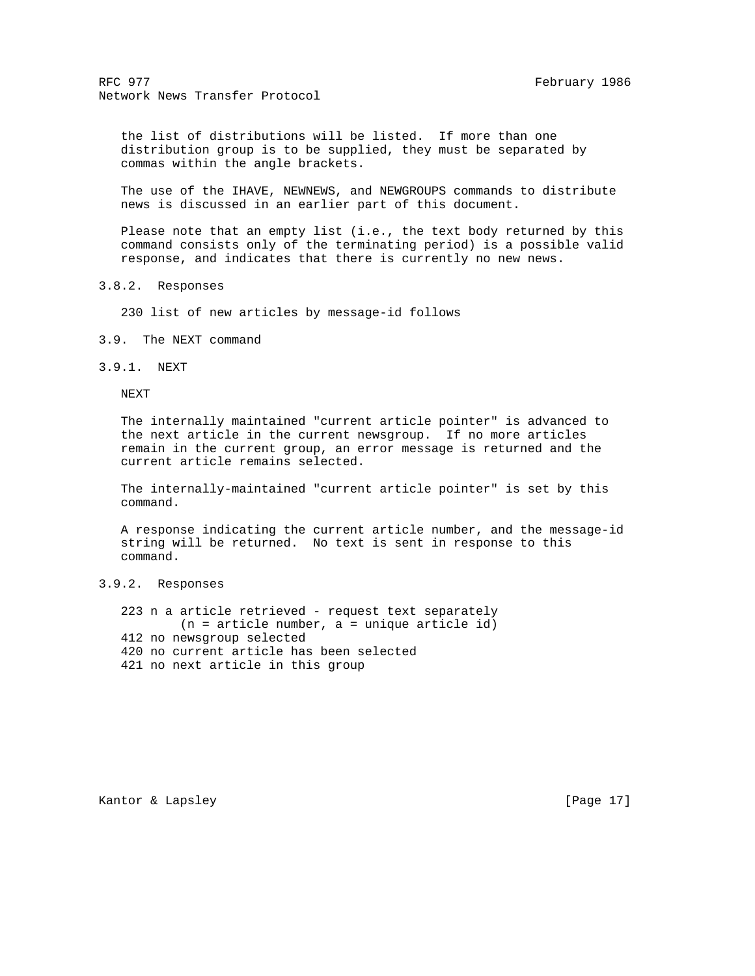the list of distributions will be listed. If more than one distribution group is to be supplied, they must be separated by commas within the angle brackets.

 The use of the IHAVE, NEWNEWS, and NEWGROUPS commands to distribute news is discussed in an earlier part of this document.

 Please note that an empty list (i.e., the text body returned by this command consists only of the terminating period) is a possible valid response, and indicates that there is currently no new news.

3.8.2. Responses

230 list of new articles by message-id follows

3.9. The NEXT command

3.9.1. NEXT

NEXT

 The internally maintained "current article pointer" is advanced to the next article in the current newsgroup. If no more articles remain in the current group, an error message is returned and the current article remains selected.

 The internally-maintained "current article pointer" is set by this command.

 A response indicating the current article number, and the message-id string will be returned. No text is sent in response to this command.

3.9.2. Responses

 223 n a article retrieved - request text separately (n = article number, a = unique article id) 412 no newsgroup selected 420 no current article has been selected 421 no next article in this group

Kantor & Lapsley [Page 17]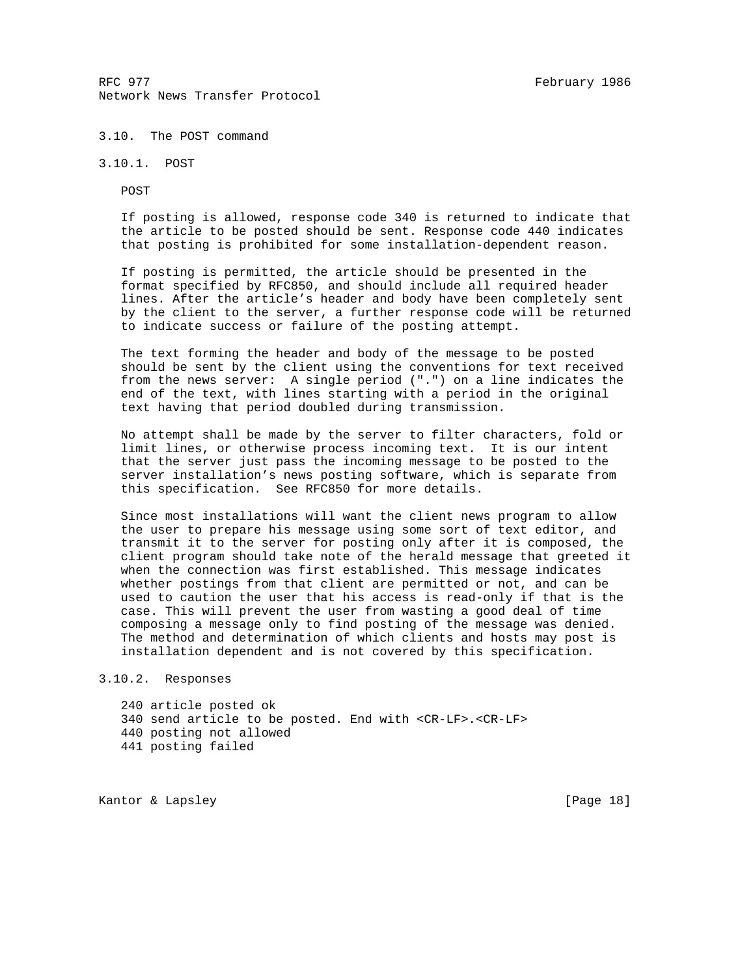## 3.10. The POST command

3.10.1. POST

POST

 If posting is allowed, response code 340 is returned to indicate that the article to be posted should be sent. Response code 440 indicates that posting is prohibited for some installation-dependent reason.

 If posting is permitted, the article should be presented in the format specified by RFC850, and should include all required header lines. After the article's header and body have been completely sent by the client to the server, a further response code will be returned to indicate success or failure of the posting attempt.

 The text forming the header and body of the message to be posted should be sent by the client using the conventions for text received from the news server: A single period (".") on a line indicates the end of the text, with lines starting with a period in the original text having that period doubled during transmission.

 No attempt shall be made by the server to filter characters, fold or limit lines, or otherwise process incoming text. It is our intent that the server just pass the incoming message to be posted to the server installation's news posting software, which is separate from this specification. See RFC850 for more details.

 Since most installations will want the client news program to allow the user to prepare his message using some sort of text editor, and transmit it to the server for posting only after it is composed, the client program should take note of the herald message that greeted it when the connection was first established. This message indicates whether postings from that client are permitted or not, and can be used to caution the user that his access is read-only if that is the case. This will prevent the user from wasting a good deal of time composing a message only to find posting of the message was denied. The method and determination of which clients and hosts may post is installation dependent and is not covered by this specification.

3.10.2. Responses

 240 article posted ok 340 send article to be posted. End with <CR-LF>.<CR-LF> 440 posting not allowed 441 posting failed

Kantor & Lapsley [Page 18]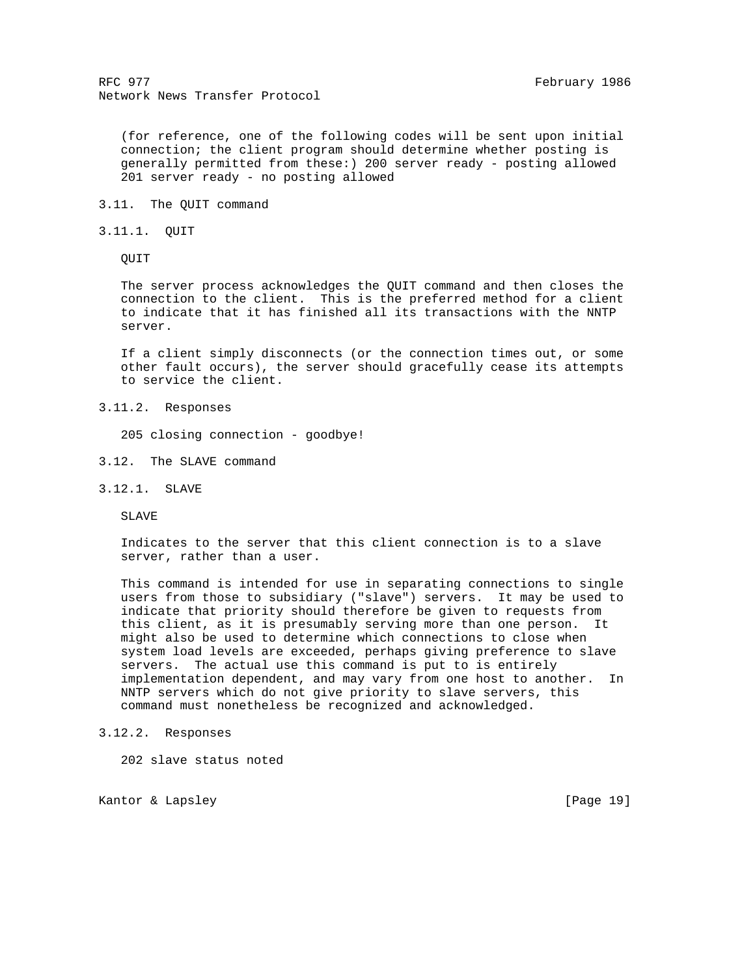(for reference, one of the following codes will be sent upon initial connection; the client program should determine whether posting is generally permitted from these:) 200 server ready - posting allowed 201 server ready - no posting allowed

- 3.11. The QUIT command
- 3.11.1. QUIT

QUIT

 The server process acknowledges the QUIT command and then closes the connection to the client. This is the preferred method for a client to indicate that it has finished all its transactions with the NNTP server.

 If a client simply disconnects (or the connection times out, or some other fault occurs), the server should gracefully cease its attempts to service the client.

3.11.2. Responses

205 closing connection - goodbye!

- 3.12. The SLAVE command
- 3.12.1. SLAVE

SLAVE

 Indicates to the server that this client connection is to a slave server, rather than a user.

 This command is intended for use in separating connections to single users from those to subsidiary ("slave") servers. It may be used to indicate that priority should therefore be given to requests from this client, as it is presumably serving more than one person. It might also be used to determine which connections to close when system load levels are exceeded, perhaps giving preference to slave servers. The actual use this command is put to is entirely implementation dependent, and may vary from one host to another. In NNTP servers which do not give priority to slave servers, this command must nonetheless be recognized and acknowledged.

3.12.2. Responses

202 slave status noted

Kantor & Lapsley [Page 19]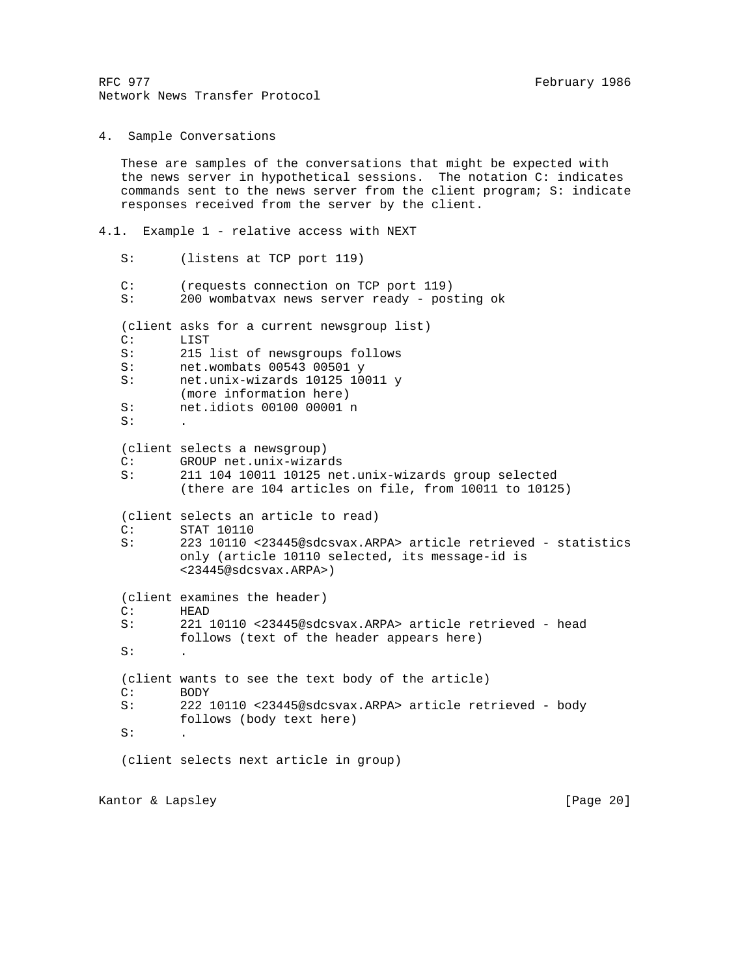4. Sample Conversations

 These are samples of the conversations that might be expected with the news server in hypothetical sessions. The notation C: indicates commands sent to the news server from the client program; S: indicate responses received from the server by the client.

4.1. Example 1 - relative access with NEXT

S: (listens at TCP port 119)

 C: (requests connection on TCP port 119) S: 200 wombatvax news server ready - posting ok

(client asks for a current newsgroup list)

C: LIST

- S: 215 list of newsgroups follows
- S: net.wombats 00543 00501 y

S: net.unix-wizards 10125 10011 y

- (more information here)
- S: net.idiots 00100 00001 n  $S:$

(client selects a newsgroup)

C: GROUP net.unix-wizards

- S: 211 104 10011 10125 net.unix-wizards group selected
	- (there are 104 articles on file, from 10011 to 10125)

(client selects an article to read)

- C: STAT 10110
- S: 223 10110 <23445@sdcsvax.ARPA> article retrieved statistics only (article 10110 selected, its message-id is <23445@sdcsvax.ARPA>)

 (client examines the header) C: HEAD

 $S:$ 

 S: 221 10110 <23445@sdcsvax.ARPA> article retrieved - head follows (text of the header appears here)

 (client wants to see the text body of the article)  $C:$  BODY<br>S: 222

 S: 222 10110 <23445@sdcsvax.ARPA> article retrieved - body follows (body text here)  $S:$ 

(client selects next article in group)

Kantor & Lapsley [Page 20]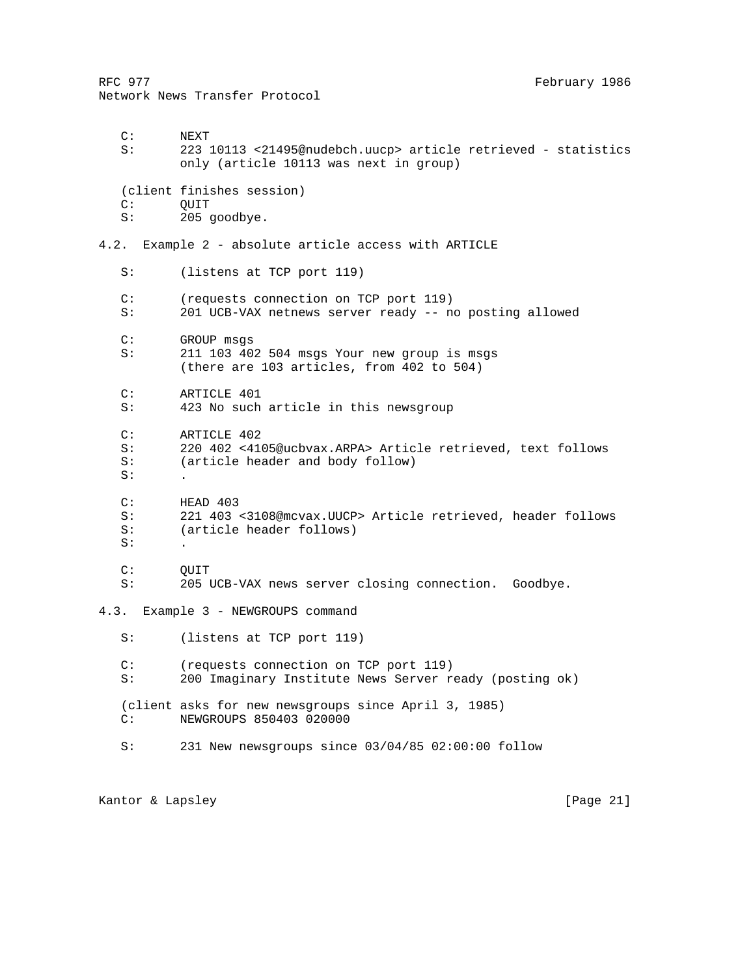RFC 977 **February 1986** Network News Transfer Protocol C: NEXT S: 223 10113 <21495@nudebch.uucp> article retrieved - statistics only (article 10113 was next in group) (client finishes session) C: OUIT S: 205 goodbye. 4.2. Example 2 - absolute article access with ARTICLE S: (listens at TCP port 119) C: (requests connection on TCP port 119) S: 201 UCB-VAX netnews server ready -- no posting allowed C: GROUP msgs S: 211 103 402 504 msgs Your new group is msgs (there are 103 articles, from 402 to 504) C: ARTICLE 401 S: 423 No such article in this newsgroup C: ARTICLE 402 S: 220 402 <4105@ucbvax.ARPA> Article retrieved, text follows S: (article header and body follow)  $S:$  C: HEAD 403 S: 221 403 <3108@mcvax.UUCP> Article retrieved, header follows S: (article header follows)  $S:$ C: OUIT S: 205 UCB-VAX news server closing connection. Goodbye. 4.3. Example 3 - NEWGROUPS command S: (listens at TCP port 119) C: (requests connection on TCP port 119) S: 200 Imaginary Institute News Server ready (posting ok) (client asks for new newsgroups since April 3, 1985) C: NEWGROUPS 850403 020000 S: 231 New newsgroups since 03/04/85 02:00:00 follow

Kantor & Lapsley [Page 21]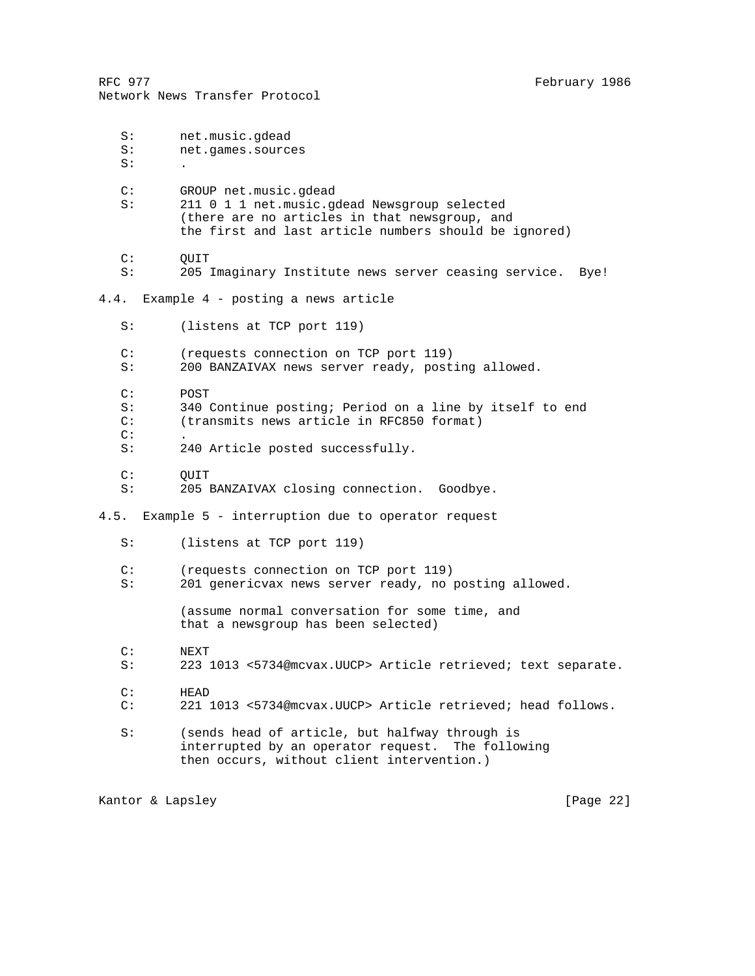RFC 977 **February 1986** Network News Transfer Protocol S: net.music.gdead S: net.games.sources  $S:$  C: GROUP net.music.gdead S: 211 0 1 1 net.music.gdead Newsgroup selected (there are no articles in that newsgroup, and the first and last article numbers should be ignored) C: QUIT S: 205 Imaginary Institute news server ceasing service. Bye! 4.4. Example 4 - posting a news article S: (listens at TCP port 119) C: (requests connection on TCP port 119) S: 200 BANZAIVAX news server ready, posting allowed. C: POST S: 340 Continue posting; Period on a line by itself to end<br>C: (transmits news article in RFC850 format) (transmits news article in RFC850 format)  $C:$  S: 240 Article posted successfully. C: QUIT S: 205 BANZAIVAX closing connection. Goodbye. 4.5. Example 5 - interruption due to operator request S: (listens at TCP port 119) C: (requests connection on TCP port 119) S: 201 genericvax news server ready, no posting allowed. (assume normal conversation for some time, and that a newsgroup has been selected) C: NEXT S: 223 1013 <5734@mcvax.UUCP> Article retrieved; text separate. C: HEAD C: 221 1013 <5734@mcvax.UUCP> Article retrieved; head follows. S: (sends head of article, but halfway through is interrupted by an operator request. The following then occurs, without client intervention.)

Kantor & Lapsley [Page 22]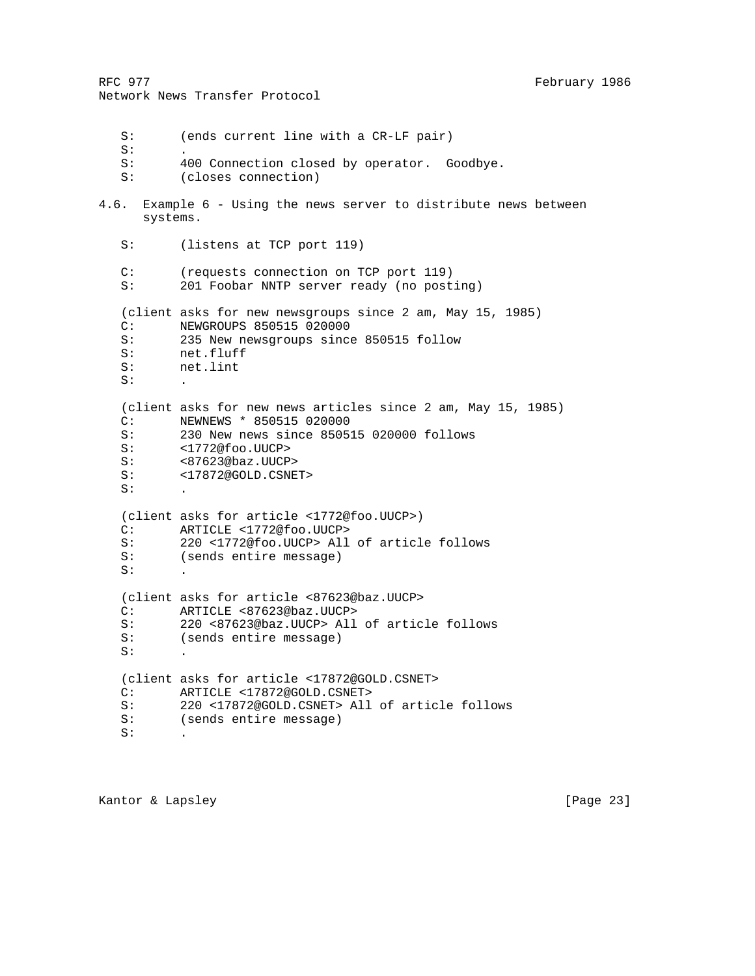```
Network News Transfer Protocol
    S: (ends current line with a CR-LF pair)
   S:S: 400 Connection closed by operator. Goodbye.<br>S: (closes connection)
           (closes connection)
4.6. Example 6 - Using the news server to distribute news between
       systems.
    S: (listens at TCP port 119)
    C: (requests connection on TCP port 119)
    S: 201 Foobar NNTP server ready (no posting)
    (client asks for new newsgroups since 2 am, May 15, 1985)
   C: NEWGROUPS 850515 020000<br>S: 235 New newsgroups since
           235 New newsgroups since 850515 follow
    S: net.fluff
    S: net.lint
   S: (client asks for new news articles since 2 am, May 15, 1985)
    C: NEWNEWS * 850515 020000
    S: 230 New news since 850515 020000 follows
   S: <1772@foo.UUCP>
   S: <87623@baz.UUCP><br>S: <17872@GOLD.CSNE
           S: <17872@GOLD.CSNET>
   S: (client asks for article <1772@foo.UUCP>)
    C: ARTICLE <1772@foo.UUCP>
    S: 220 <1772@foo.UUCP> All of article follows
    S: (sends entire message)
  S: (client asks for article <87623@baz.UUCP>
    C: ARTICLE <87623@baz.UUCP>
    S: 220 <87623@baz.UUCP> All of article follows
    S: (sends entire message)
   S: \qquad .
    (client asks for article <17872@GOLD.CSNET>
    C: ARTICLE <17872@GOLD.CSNET>
    S: 220 <17872@GOLD.CSNET> All of article follows
    S: (sends entire message)
   S:
```
RFC 977 **February 1986**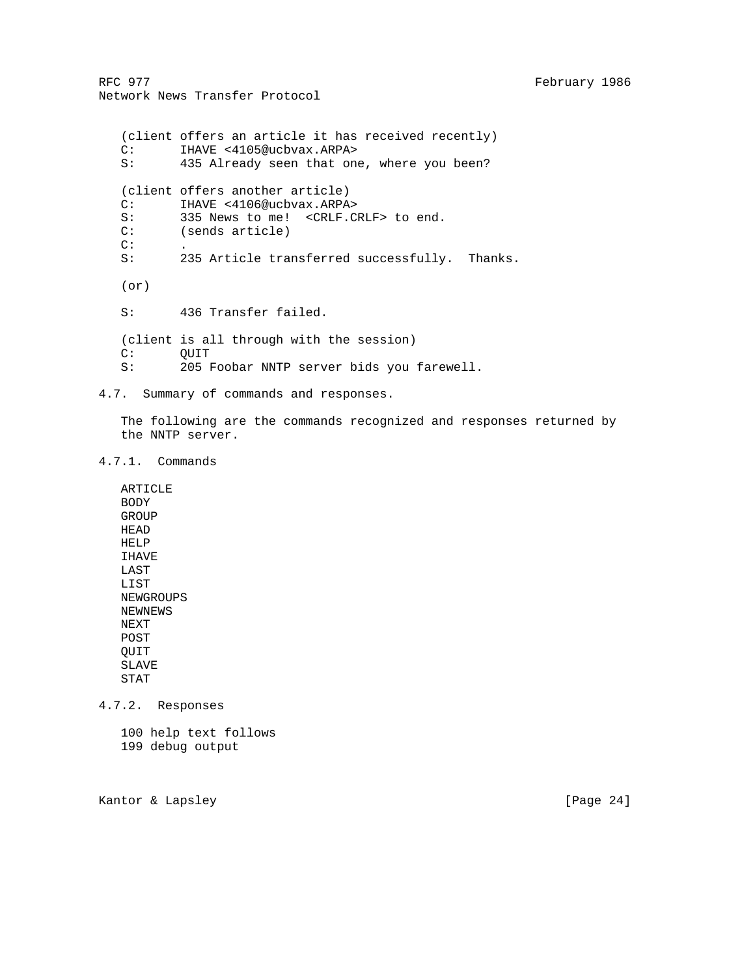(client offers an article it has received recently) C: IHAVE <4105@ucbvax.ARPA><br>S: 435 Already seen that one 435 Already seen that one, where you been? (client offers another article) C: IHAVE <4106@ucbvax.ARPA> S: 335 News to me! <CRLF.CRLF> to end.<br>C: (sends article) (sends article) C:<br>S: 235 Article transferred successfully. Thanks. (or) S: 436 Transfer failed. (client is all through with the session) C: QUIT S: 205 Foobar NNTP server bids you farewell.

4.7. Summary of commands and responses.

 The following are the commands recognized and responses returned by the NNTP server.

4.7.1. Commands

 ARTICLE BODY GROUP HEAD HELP IHAVE LAST LIST NEWGROUPS NEWNEWS NEXT POST QUIT SLAVE STAT

4.7.2. Responses

 100 help text follows 199 debug output

Kantor & Lapsley [Page 24]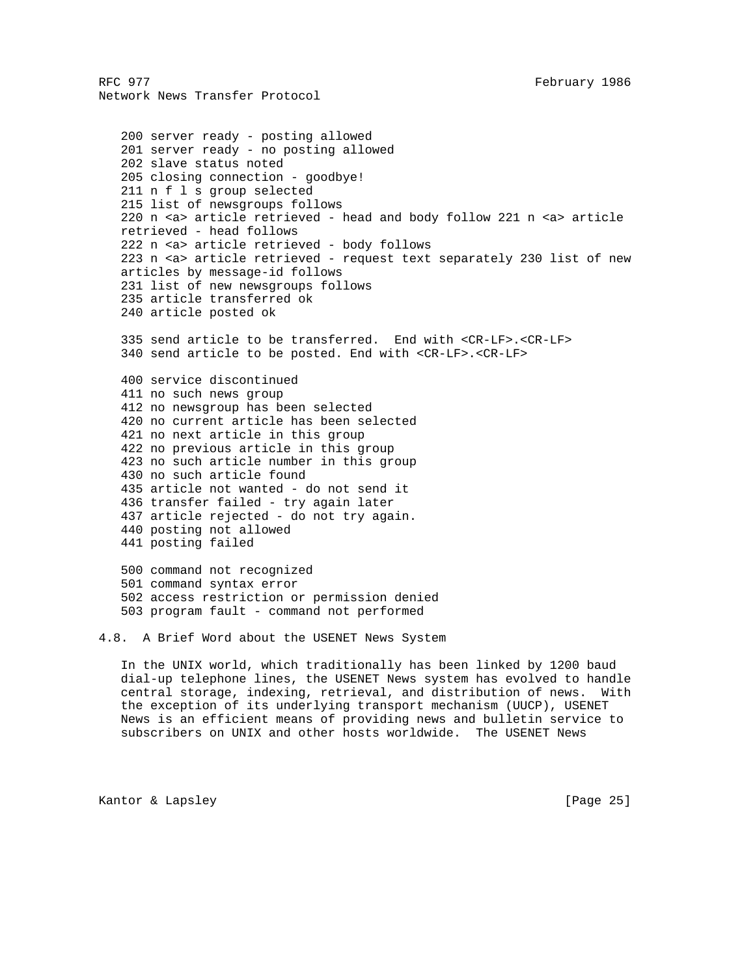```
 200 server ready - posting allowed
 201 server ready - no posting allowed
 202 slave status noted
 205 closing connection - goodbye!
 211 n f l s group selected
 215 list of newsgroups follows
 220 n <a> article retrieved - head and body follow 221 n <a> article
 retrieved - head follows
 222 n <a> article retrieved - body follows
 223 n <a> article retrieved - request text separately 230 list of new
 articles by message-id follows
 231 list of new newsgroups follows
 235 article transferred ok
 240 article posted ok
 335 send article to be transferred. End with <CR-LF>.<CR-LF>
 340 send article to be posted. End with <CR-LF>.<CR-LF>
 400 service discontinued
 411 no such news group
 412 no newsgroup has been selected
 420 no current article has been selected
 421 no next article in this group
 422 no previous article in this group
 423 no such article number in this group
 430 no such article found
 435 article not wanted - do not send it
 436 transfer failed - try again later
 437 article rejected - do not try again.
 440 posting not allowed
 441 posting failed
 500 command not recognized
 501 command syntax error
 502 access restriction or permission denied
 503 program fault - command not performed
```
4.8. A Brief Word about the USENET News System

 In the UNIX world, which traditionally has been linked by 1200 baud dial-up telephone lines, the USENET News system has evolved to handle central storage, indexing, retrieval, and distribution of news. With the exception of its underlying transport mechanism (UUCP), USENET News is an efficient means of providing news and bulletin service to subscribers on UNIX and other hosts worldwide. The USENET News

Kantor & Lapsley [Page 25]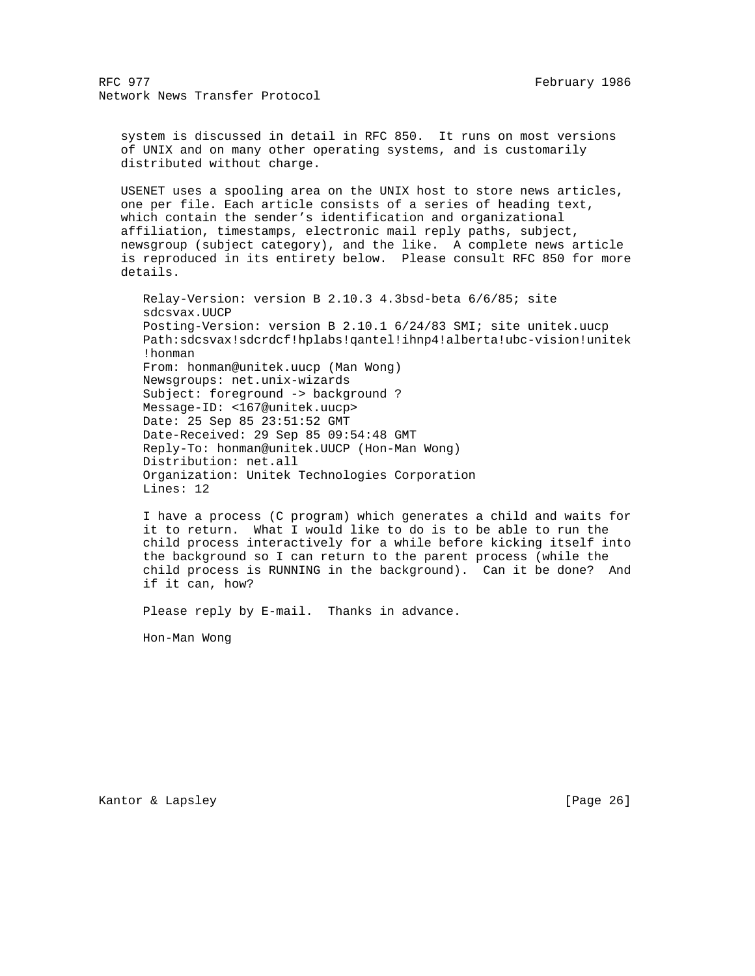system is discussed in detail in RFC 850. It runs on most versions of UNIX and on many other operating systems, and is customarily distributed without charge.

 USENET uses a spooling area on the UNIX host to store news articles, one per file. Each article consists of a series of heading text, which contain the sender's identification and organizational affiliation, timestamps, electronic mail reply paths, subject, newsgroup (subject category), and the like. A complete news article is reproduced in its entirety below. Please consult RFC 850 for more details.

 Relay-Version: version B 2.10.3 4.3bsd-beta 6/6/85; site sdcsvax.UUCP Posting-Version: version B 2.10.1 6/24/83 SMI; site unitek.uucp Path:sdcsvax!sdcrdcf!hplabs!qantel!ihnp4!alberta!ubc-vision!unitek !honman From: honman@unitek.uucp (Man Wong) Newsgroups: net.unix-wizards Subject: foreground -> background ? Message-ID: <167@unitek.uucp> Date: 25 Sep 85 23:51:52 GMT Date-Received: 29 Sep 85 09:54:48 GMT Reply-To: honman@unitek.UUCP (Hon-Man Wong) Distribution: net.all Organization: Unitek Technologies Corporation Lines: 12

 I have a process (C program) which generates a child and waits for it to return. What I would like to do is to be able to run the child process interactively for a while before kicking itself into the background so I can return to the parent process (while the child process is RUNNING in the background). Can it be done? And if it can, how?

Please reply by E-mail. Thanks in advance.

Hon-Man Wong

Kantor & Lapsley [Page 26]